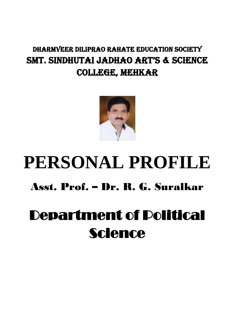### DHARMVEER DILIPRAO RAHATE EDUCATION SOCIETY SMT. SINDHUTAI JADHAO ART'S & SCIENCE COLLEGE, MEHKAR



# **PERSONAL PROFILE**

## Asst. Prof. – Dr. R. G. Suralkar

## Department of Political Science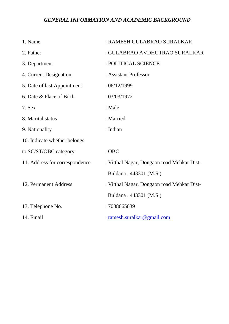#### *GENERAL INFORMATION AND ACADEMIC BACKGROUND*

| 1. Name                        | : RAMESH GULABRAO SURALKAR                 |
|--------------------------------|--------------------------------------------|
| 2. Father                      | : GULABRAO AVDHUTRAO SURALKAR              |
| 3. Department                  | : POLITICAL SCIENCE                        |
| 4. Current Designation         | : Assistant Professor                      |
| 5. Date of last Appointment    | :06/12/1999                                |
| 6. Date & Place of Birth       | : 03/03/1972                               |
| 7. Sex                         | : Male                                     |
| 8. Marital status              | : Married                                  |
| 9. Nationality                 | : Indian                                   |
| 10. Indicate whether belongs   |                                            |
| to SC/ST/OBC category          | $:$ OBC                                    |
| 11. Address for correspondence | : Vitthal Nagar, Dongaon road Mehkar Dist- |
|                                | Buldana . 443301 (M.S.)                    |
| 12. Permanent Address          | : Vitthal Nagar, Dongaon road Mehkar Dist- |
|                                | Buldana . 443301 (M.S.)                    |
| 13. Telephone No.              | : 7038665639                               |
| 14. Email                      | : ramesh.suralkar@gmail.com                |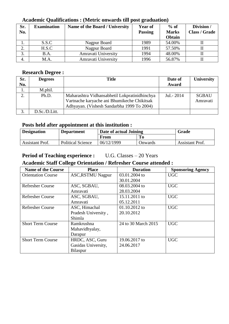#### **Academic Qualifications : (Metric onwards till post graduation)**

| Sr.<br>No. | <b>Examination</b> | Name of the Board / University | Year of<br><b>Passing</b> | $%$ of<br><b>Marks</b><br>Obtain | Division /<br><b>Class / Grade</b> |
|------------|--------------------|--------------------------------|---------------------------|----------------------------------|------------------------------------|
|            | S.S.C              | Nagpur Board                   | 1989                      | 54.00%                           |                                    |
|            | H.S.C              | Nagpur Board                   | 1991                      | 57.50%                           |                                    |
|            | B.A.               | Amravati University            | 1994                      | 48.00%                           |                                    |
| 4.         | M.A                | Amravati University            | 1996                      | 56.87%                           |                                    |

#### **Research Degree :**

| Sr. | <b>Degrees</b> | <b>Title</b>                                  | Date of     | University   |
|-----|----------------|-----------------------------------------------|-------------|--------------|
| No. |                |                                               | Award       |              |
| ı.  | M.phil.        |                                               |             |              |
| 2.  | Ph.D.          | Maharashtra Vidhansabhetil Lokpratinidhinchya | Jul. - 2014 | <b>SGBAU</b> |
|     |                | Vartnache karyache ani Bhumikeche Chikitsak   |             | Amravati     |
|     |                | Adhyayan. (Vishesh Sandarbha 1999 To 2004)    |             |              |
|     | D.Sc./D.Litt.  |                                               |             |              |

#### **Posts held after appointment at this institution :**

| <b>Designation</b> | <b>Department</b>        | Date of actual Joining |         | Grade           |
|--------------------|--------------------------|------------------------|---------|-----------------|
|                    |                          | From                   |         |                 |
| Assistant Prof.    | <b>Political Science</b> | 06/12/1999             | Onwards | Assistant Prof. |

#### **Period of Teaching experience :** U.G. Classes – 20 Years **Academic Staff College Orientation / Refresher Course attended :**

| <b>Name of the Course</b> | <b>Place</b>             | <b>Duration</b>     | <b>Sponsoring Agency</b> |
|---------------------------|--------------------------|---------------------|--------------------------|
| <b>Orientation Course</b> | <b>ASC, RSTMU Nagpur</b> | 03.01.2004 to       | <b>UGC</b>               |
|                           |                          | 30.01.2004          |                          |
| <b>Refresher Course</b>   | ASC, SGBAU,              | 08.03.2004 to       | <b>UGC</b>               |
|                           | Amravati                 | 28.03.2004          |                          |
| <b>Refresher Course</b>   | ASC, SGBAU,              | 15.11.2011 to       | <b>UGC</b>               |
|                           | Amravati                 | 05.12.2011          |                          |
| <b>Refresher Course</b>   | ASC, Himachal            | 01.10.2012 to       | <b>UGC</b>               |
|                           | Pradesh University,      | 20.10.2012          |                          |
|                           | Shimla                   |                     |                          |
| <b>Short Term Course</b>  | Ramkrushna               | 24 to 30 March 2015 | <b>UGC</b>               |
|                           | Mahavidhyalay,           |                     |                          |
|                           | Darapur                  |                     |                          |
| <b>Short Term Course</b>  | HRDC, ASC, Guru          | 19.06.2017 to       | <b>UGC</b>               |
|                           | Gasidas University,      | 24.06.2017          |                          |
|                           | <b>Bilaspur</b>          |                     |                          |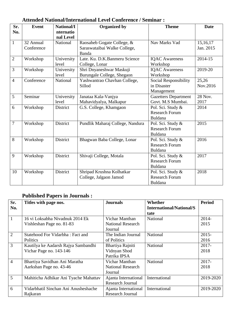| Sr.<br>No.     | <b>Event</b> | National/I<br>nternatio | <b>Organized by</b>                          | <b>Theme</b>                | <b>Date</b> |
|----------------|--------------|-------------------------|----------------------------------------------|-----------------------------|-------------|
|                |              | nal Level               |                                              |                             |             |
| $\mathbf{1}$   | 32 Annual    | National                | Raosaheb Gogate College, &                   | Nav Marks Vad               | 15,16,17    |
|                | Conference   |                         | Saraswataibai Walke College,<br><b>Banda</b> |                             | Jan. 2015   |
| $\overline{2}$ | Workshop     | University              | Late. Ku. D.K.Banmeru Science                | <b>IQAC</b> Awareness       | 2014-15     |
|                |              | level                   | College, Lonar                               | Workshop                    |             |
| $\overline{3}$ | Workshop     | University              | Shri Dnyaneshwar Maskuji                     | <b>IQAC</b> Awareness       | 2019-20     |
|                |              | level                   | Burungale College, Shegaon                   | Workshop                    |             |
| $\overline{4}$ | Conference   | National                | Yashwantrao Chavhan College,                 | Social Responsibility       | 25,26       |
|                |              |                         | Sillod                                       | in Disaster                 | Nov.2016    |
|                |              |                         |                                              | Management                  |             |
| 5              | Seminar      | University              | Janataa Kala-Vanjya                          | <b>Gazetters Department</b> | 28 Nov.     |
|                |              | level                   | Mahavidyalya, Malkapur                       | Govt. M.S Mumbai.           | 2017        |
| 6              | Workshop     | District                | G.S. College, Khamgaon                       | Pol. Sci. Study &           | 2014        |
|                |              |                         |                                              | <b>Research Forum</b>       |             |
|                |              |                         |                                              | Buldana                     |             |
| $\overline{7}$ | Workshop     | District                | Pundlik Maharaj College, Nandura             | Pol. Sci. Study &           | 2015        |
|                |              |                         |                                              | <b>Research Forum</b>       |             |
|                |              |                         |                                              | Buldana                     |             |
| 8              | Workshop     | District                | Bhagwan Baba College, Lonar                  | Pol. Sci. Study &           | 2016        |
|                |              |                         |                                              | <b>Research Forum</b>       |             |
|                |              |                         |                                              | Buldana                     |             |
| 9              | Workshop     | District                | Shivaji College, Motala                      | Pol. Sci. Study &           | 2017        |
|                |              |                         |                                              | <b>Research Forum</b>       |             |
|                |              |                         |                                              | Buldana                     |             |
| 10             | Workshop     | District                | Shripad Krushna Kolhatkar                    | Pol. Sci. Study &           | 2018        |
|                |              |                         | College, Jalgaon Jamod                       | <b>Research Forum</b>       |             |
|                |              |                         |                                              | Buldana                     |             |

#### **Attended National/International Level Conference / Seminar :**

#### **Published Papers in Journals :**

| Sr.<br>No.     | Titles with page nos.                                          | <b>Journals</b>                                       | Whether<br><b>International/National/S</b><br>tate | <b>Period</b>    |
|----------------|----------------------------------------------------------------|-------------------------------------------------------|----------------------------------------------------|------------------|
| $\mathbf{1}$   | 16 vi Loksabha Nivadnuk 2014 Ek<br>Vishleshan Page no. 81-83   | Vichar Manthan<br><b>National Research</b><br>Journal | National                                           | 2014-<br>2015    |
| $\overline{2}$ | Statehood For Vidarbha: Fact and<br>Politics                   | The Indian Journal<br>of Politics                     | National                                           | $2015 -$<br>2016 |
| $\overline{3}$ | Kautilya ke Aadarsh Rajya Sambandhi<br>Vichar Page no. 143-146 | Bhartiya Rajniti<br>Vidnyan Shod<br>Patrika IPSA      | National                                           | 2017-<br>2018    |
| $\overline{4}$ | Bhartiya Savidhan Ani Maratha<br>Aarkshan Page no. 43-46       | Vichar Manthan<br><b>National Research</b><br>Journal | National                                           | $2017 -$<br>2018 |
| 5              | Mahiticha Adhikar Ani Tyache Mahattav                          | Ajanta International<br><b>Research Journal</b>       | International                                      | 2019-2020        |
| 6              | Vidarbhatil Sinchan Ani Anusheshache<br>Rajkaran               | Ajanta International<br><b>Research Journal</b>       | International                                      | 2019-2020        |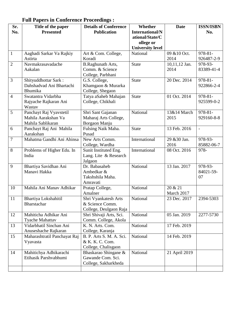| Sr.<br>No.     | Title of the paper<br><b>Presented</b>                              | <b>Details of Conference</b><br><b>Publication</b>                 | Whether<br><b>International/N</b><br>ational/State/C<br>ollege or<br><b>University level</b> | <b>Date</b>           | <b>ISSN/ISBN</b><br>No.    |
|----------------|---------------------------------------------------------------------|--------------------------------------------------------------------|----------------------------------------------------------------------------------------------|-----------------------|----------------------------|
| $\mathbf{1}$   | Aaghadi Sarkar Va Rajkiy                                            | Art & Com. College,                                                | National                                                                                     | 09 & 10 Oct.          | 978-81-                    |
|                | Astirta                                                             | Koradi                                                             |                                                                                              | 2014                  | 926487-2-9                 |
| $\overline{2}$ | Navmakrasavadache<br>Aakalan                                        | <b>B.Raghunath Arts,</b><br>Comm. & Science<br>College, Parbhani   | <b>State</b>                                                                                 | 10,11,12 Jan.<br>2014 | 978-93-<br>83389-41-4      |
| 3              | Shityuddhottar Sark:<br>Dahshadvad Ani Bhartachi<br>Bhumika         | G.S. College,<br>Khamgaon & Murarka<br>College, Shegaon            | <b>State</b>                                                                                 | 20 Dec. 2014          | 978-81-<br>922866-2-4      |
| $\overline{4}$ | Swatantra Vidarbha<br>Rajyache Rajkaran Ani<br>Wastav               | Tatya aSaheb Mahajan<br>College, Chikhali                          | <b>State</b>                                                                                 | 01 Oct. 2014          | $978 - 81 -$<br>925599-0-2 |
| 5              | Panchayt Raj Vyavstetil<br>Mahila Aarakshan Va<br>Mahila Sablikaran | Shri Sant Gajanan<br>Maharaj Arts College,<br>Borgaon Manju        | National                                                                                     | 13&14 March<br>2015   | $978 - 81 -$<br>929160-8-8 |
| 6              | Panchayt Raj Ani Mahila<br>Aarakshan                                | Fulsing Naik Maha.<br>Pusad                                        | <b>State</b>                                                                                 | 13 Feb. 2016          | $\overline{\phantom{a}}$   |
| $\overline{7}$ | Mahatma Gandhi Ani Ahinsa                                           | New Arts Comm.<br>College, Wardha                                  | International                                                                                | 29 & 30 Jan.<br>2016  | 978-93-<br>85882-06-7      |
| 8              | Problems of Higher Edu. In<br>India                                 | Sunit Instituted Eng.<br>Lang. Lite & Research<br>Jalgaon          | International                                                                                | 08 Oct. 2016          | 978-                       |
| 9              | Bhartiya Savidhan Ani<br>Manavi Hakka                               | Dr. Babasaheb<br>Ambedkar &<br>Takshshila Maha.<br>Amravati        | National                                                                                     | 13 Jan. 2017          | 978-93-<br>84021-59-<br>07 |
| 10             | Mahila Ani Manav Adhikar                                            | Pratap College,<br>Amalner                                         | National                                                                                     | 20 & 21<br>March 2017 |                            |
| 11             | Bhartiya Lokshahitil<br>Bharstachar                                 | Shri Vyankatesh Arts<br>& Science Comm.<br>College, Deulgaon Raja  | National                                                                                     | 23 Dec. 2017          | 2394-5303                  |
| 12             | Mahiticha Adhikar Ani<br><b>Tyache Mahattav</b>                     | Shri Shivaji Arts, Sci.<br>Comm. College, Akola                    | National                                                                                     | 05 Jan. 2019          | 2277-5730                  |
| 13             | Vidarbhatil Sinchan Ani<br>Anuseshache Rajkaran                     | K. N. Arts. Com.<br>College, Karanja                               | National                                                                                     | 17 Feb. 2019          |                            |
| 15             | Maharashtratil Panchayat Raj<br>Vyavasta                            | B. P. Arts S. M. A. Sci.<br>& K. K. C. Com.<br>College, Chalisgaon | National                                                                                     | 14 Feb. 2019          |                            |
| 14             | Mahitichya Adhikarachi<br>Etihasik Parshvabhumi                     | Bhaskarao Shingane &<br>Gawande Com. Sci.<br>College, Sakharkheda  | National                                                                                     | 21 April 2019         |                            |
|                |                                                                     |                                                                    |                                                                                              |                       |                            |

#### **Full Papers in Conference Proceedings :**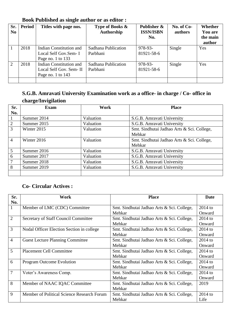| Sr.<br>N <sub>0</sub> | <b>Period</b> | Titles with page nos.                                                    | Type of Books &<br>Authorship   | Publisher &<br><b>ISSN/ISBN</b><br>No. | No. of Co-<br>authors | <b>Whether</b><br><b>You are</b><br>the main<br>author |
|-----------------------|---------------|--------------------------------------------------------------------------|---------------------------------|----------------------------------------|-----------------------|--------------------------------------------------------|
|                       | 2018          | Indian Constitution and<br>Local Self Gov.Sem- I<br>Page no. 1 to 133    | Sadhana Publication<br>Parbhani | 978-93-<br>81921-58-6                  | Single                | Yes                                                    |
| 2                     | 2018          | Indian Constitution and<br>Local Self Gov. Sem-II<br>Page no. 1 to $143$ | Sadhana Publication<br>Parbhani | 978-93-<br>81921-58-6                  | Single                | Yes                                                    |
|                       |               |                                                                          |                                 |                                        |                       |                                                        |

**Book Published as single author or as editor :** 

#### **S.G.B. Amravati University Examination work as a office- in charge / Co- office in charge/Invigilation**

| Sr.            | <b>Exam</b> | Work      | <b>Place</b>                               |
|----------------|-------------|-----------|--------------------------------------------|
| No.            |             |           |                                            |
|                | Summer 2014 | Valuation | S.G.B. Amravati University                 |
| $\overline{2}$ | Summer 2015 | Valuation | S.G.B. Amravati University                 |
| 3              | Winter 2015 | Valuation | Smt. Sindhutai Jadhao Arts & Sci. College, |
|                |             |           | Mehkar                                     |
| $\overline{4}$ | Winter 2016 | Valuation | Smt. Sindhutai Jadhao Arts & Sci. College, |
|                |             |           | Mehkar                                     |
| 5              | Summer 2016 | Valuation | S.G.B. Amravati University                 |
| 6              | Summer 2017 | Valuation | S.G.B. Amravati University                 |
| 7              | Summer 2018 | Valuation | S.G.B. Amravati University                 |
| 8              | Summer 2019 | Valuation | S.G.B. Amravati University                 |
|                |             |           |                                            |

#### **Co- Circular Actives :**

| Sr.            | Work                                        | <b>Place</b>                               | <b>Date</b> |
|----------------|---------------------------------------------|--------------------------------------------|-------------|
| No.            |                                             |                                            |             |
| 1              | Member of LMC (CDC) Committee               | Smt. Sindhutai Jadhao Arts & Sci. College, | $2014$ to   |
|                |                                             | Mehkar                                     | Onward      |
| $\overline{2}$ | <b>Secretary of Staff Council Committee</b> | Smt. Sindhutai Jadhao Arts & Sci. College, | $2014$ to   |
|                |                                             | Mehkar                                     | Onward      |
| 3              | Nodal Officer Election Section in college   | Smt. Sindhutai Jadhao Arts & Sci. College, | $2014$ to   |
|                |                                             | Mehkar                                     | Onward      |
| $\overline{4}$ | <b>Guest Lecture Planning Committee</b>     | Smt. Sindhutai Jadhao Arts & Sci. College, | $2014$ to   |
|                |                                             | Mehkar                                     | Onward      |
| 5              | <b>Placement Cell Committee</b>             | Smt. Sindhutai Jadhao Arts & Sci. College, | $2014$ to   |
|                |                                             | Mehkar                                     | Onward      |
| 6              | <b>Program Outcome Evolution</b>            | Smt. Sindhutai Jadhao Arts & Sci. College, | $2014$ to   |
|                |                                             | Mehkar                                     | Onward      |
| 7              | Voter's Awareness Comp.                     | Smt. Sindhutai Jadhao Arts & Sci. College, | $2014$ to   |
|                |                                             | Mehkar                                     | Onward      |
| 8              | Member of NAAC IQAC Committee               | Smt. Sindhutai Jadhao Arts & Sci. College, | 2019        |
|                |                                             | Mehkar                                     |             |
| 9              | Member of Political Science Research Forum  | Smt. Sindhutai Jadhao Arts & Sci. College, | $2014$ to   |
|                |                                             | Mehkar                                     | Life        |